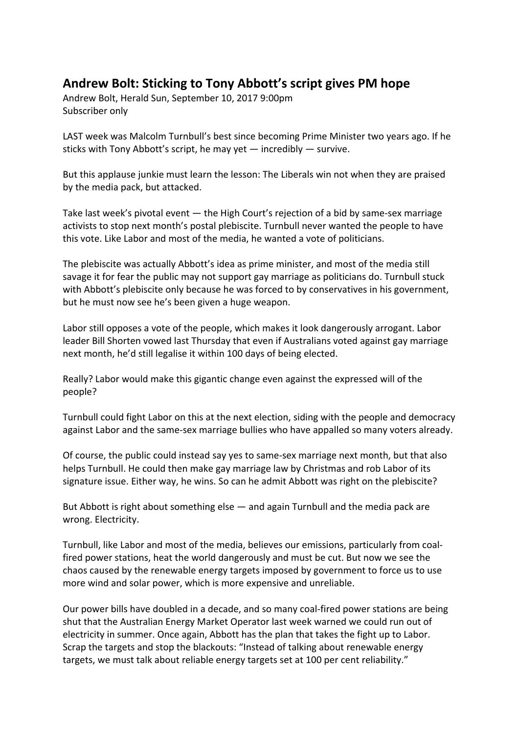## **Andrew Bolt: Sticking to Tony Abbott's script gives PM hope**

Andrew Bolt, Herald Sun, September 10, 2017 9:00pm Subscriber only

LAST week was Malcolm Turnbull's best since becoming Prime Minister two years ago. If he sticks with Tony Abbott's script, he may yet — incredibly — survive.

But this applause junkie must learn the lesson: The Liberals win not when they are praised by the media pack, but attacked.

Take last week's pivotal event — the High Court's rejection of a bid by same-sex marriage activists to stop next month's postal plebiscite. Turnbull never wanted the people to have this vote. Like Labor and most of the media, he wanted a vote of politicians.

The plebiscite was actually Abbott's idea as prime minister, and most of the media still savage it for fear the public may not support gay marriage as politicians do. Turnbull stuck with Abbott's plebiscite only because he was forced to by conservatives in his government, but he must now see he's been given a huge weapon.

Labor still opposes a vote of the people, which makes it look dangerously arrogant. Labor leader Bill Shorten vowed last Thursday that even if Australians voted against gay marriage next month, he'd still legalise it within 100 days of being elected.

Really? Labor would make this gigantic change even against the expressed will of the people?

Turnbull could fight Labor on this at the next election, siding with the people and democracy against Labor and the same-sex marriage bullies who have appalled so many voters already.

Of course, the public could instead say yes to same-sex marriage next month, but that also helps Turnbull. He could then make gay marriage law by Christmas and rob Labor of its signature issue. Either way, he wins. So can he admit Abbott was right on the plebiscite?

But Abbott is right about something else — and again Turnbull and the media pack are wrong. Electricity.

Turnbull, like Labor and most of the media, believes our emissions, particularly from coalfired power stations, heat the world dangerously and must be cut. But now we see the chaos caused by the renewable energy targets imposed by government to force us to use more wind and solar power, which is more expensive and unreliable.

Our power bills have doubled in a decade, and so many coal-fired power stations are being shut that the Australian Energy Market Operator last week warned we could run out of electricity in summer. Once again, Abbott has the plan that takes the fight up to Labor. Scrap the targets and stop the blackouts: "Instead of talking about renewable energy targets, we must talk about reliable energy targets set at 100 per cent reliability."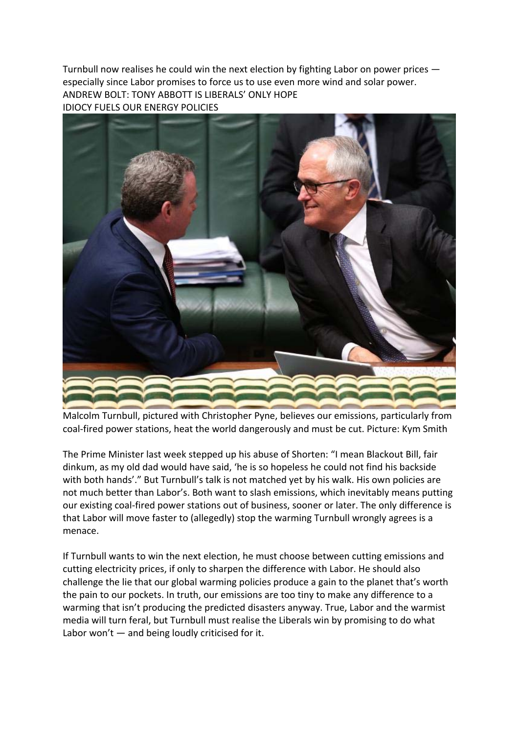Turnbull now realises he could win the next election by fighting Labor on power prices especially since Labor promises to force us to use even more wind and solar power. ANDREW BOLT: TONY ABBOTT IS LIBERALS' ONLY HOPE IDIOCY FUELS OUR ENERGY POLICIES



Malcolm Turnbull, pictured with Christopher Pyne, believes our emissions, particularly from coal-fired power stations, heat the world dangerously and must be cut. Picture: Kym Smith

The Prime Minister last week stepped up his abuse of Shorten: "I mean Blackout Bill, fair dinkum, as my old dad would have said, 'he is so hopeless he could not find his backside with both hands'." But Turnbull's talk is not matched yet by his walk. His own policies are not much better than Labor's. Both want to slash emissions, which inevitably means putting our existing coal-fired power stations out of business, sooner or later. The only difference is that Labor will move faster to (allegedly) stop the warming Turnbull wrongly agrees is a menace.

If Turnbull wants to win the next election, he must choose between cutting emissions and cutting electricity prices, if only to sharpen the difference with Labor. He should also challenge the lie that our global warming policies produce a gain to the planet that's worth the pain to our pockets. In truth, our emissions are too tiny to make any difference to a warming that isn't producing the predicted disasters anyway. True, Labor and the warmist media will turn feral, but Turnbull must realise the Liberals win by promising to do what Labor won't  $-$  and being loudly criticised for it.